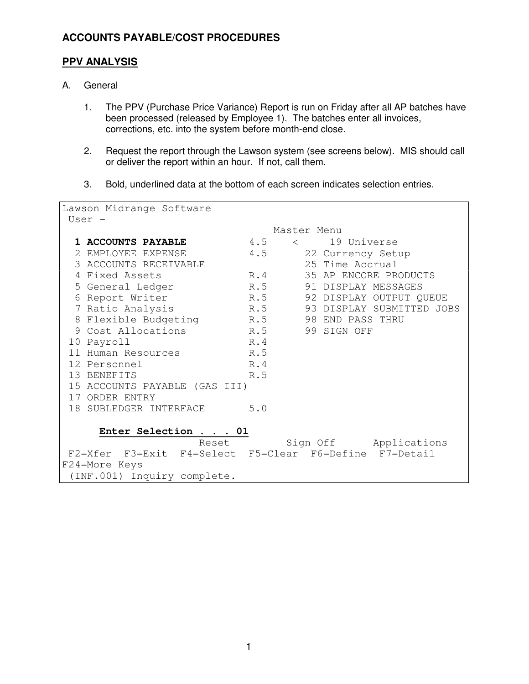### **PPV ANALYSIS**

- A. General
	- 1. The PPV (Purchase Price Variance) Report is run on Friday after all AP batches have been processed (released by Employee 1). The batches enter all invoices, corrections, etc. into the system before month-end close.
	- 2. Request the report through the Lawson system (see screens below). MIS should call or deliver the report within an hour. If not, call them.
	- 3. Bold, underlined data at the bottom of each screen indicates selection entries.

| Lawson Midrange Software                               |                          |     |             |                 |                               |
|--------------------------------------------------------|--------------------------|-----|-------------|-----------------|-------------------------------|
| User -                                                 |                          |     |             |                 |                               |
|                                                        |                          |     | Master Menu |                 |                               |
|                                                        | 1 ACCOUNTS PAYABLE       | 4.5 |             | $\lt$ and $\lt$ | 19 Universe                   |
|                                                        | 2 EMPLOYEE EXPENSE       | 4.5 |             |                 | 22 Currency Setup             |
|                                                        | 3 ACCOUNTS RECEIVABLE    |     |             |                 | 25 Time Accrual               |
|                                                        | 4 Fixed Assets           |     | R.4         |                 | 35 AP ENCORE PRODUCTS         |
|                                                        | 5 General Ledger         |     | R.5         |                 | 91 DISPLAY MESSAGES           |
|                                                        | 6 Report Writer          |     |             |                 | R.5 92 DISPLAY OUTPUT QUEUE   |
|                                                        | 7 Ratio Analysis         |     |             |                 | R.5 93 DISPLAY SUBMITTED JOBS |
|                                                        | 8 Flexible Budgeting R.5 |     |             |                 | 98 END PASS THRU              |
|                                                        | 9 Cost Allocations       | R.5 |             |                 | 99 SIGN OFF                   |
|                                                        | 10 Payroll               | R.4 |             |                 |                               |
|                                                        | 11 Human Resources       | R.5 |             |                 |                               |
|                                                        | 12 Personnel             | R.4 |             |                 |                               |
|                                                        | 13 BENEFITS              | R.5 |             |                 |                               |
| 15 ACCOUNTS PAYABLE (GAS III)                          |                          |     |             |                 |                               |
|                                                        | 17 ORDER ENTRY           |     |             |                 |                               |
|                                                        | 18 SUBLEDGER INTERFACE   | 5.0 |             |                 |                               |
|                                                        |                          |     |             |                 |                               |
| Enter Selection 01                                     |                          |     |             |                 |                               |
| Reset<br>Sign Off Applications                         |                          |     |             |                 |                               |
| F2=Xfer F3=Exit F4=Select F5=Clear F6=Define F7=Detail |                          |     |             |                 |                               |
| F24=More Keys                                          |                          |     |             |                 |                               |
| (INF.001) Inquiry complete.                            |                          |     |             |                 |                               |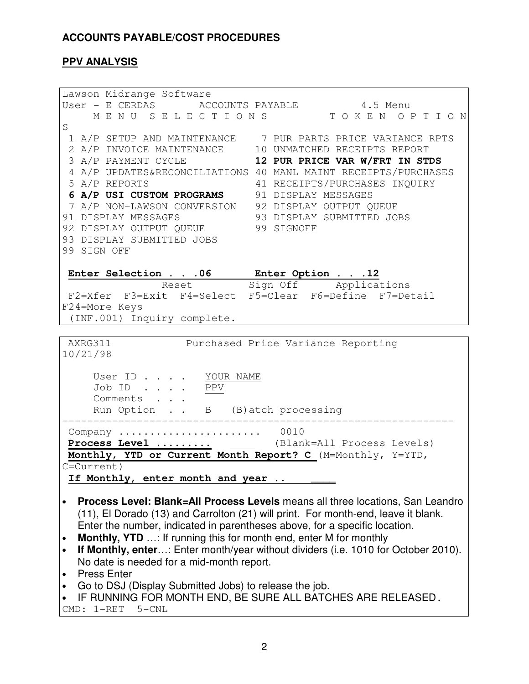### **PPV ANALYSIS**

Lawson Midrange Software User - E CERDAS ACCOUNTS PAYABLE 4.5 Menu M E N U S E L E C T I O N S T O K E N O P T I O N S 1 A/P SETUP AND MAINTENANCE 7 PUR PARTS PRICE VARIANCE RPTS 2 A/P INVOICE MAINTENANCE 10 UNMATCHED RECEIPTS REPORT 3 A/P PAYMENT CYCLE **12 PUR PRICE VAR W/FRT IN STDS** 4 A/P UPDATES&RECONCILIATIONS 40 MANL MAINT RECEIPTS/PURCHASES 5 A/P REPORTS 41 RECEIPTS/PURCHASES INQUIRY **6 A/P USI CUSTOM PROGRAMS** 91 DISPLAY MESSAGES 7 A/P NON-LAWSON CONVERSION 92 DISPLAY OUTPUT QUEUE 91 DISPLAY MESSAGES 93 DISPLAY SUBMITTED JOBS 92 DISPLAY OUTPUT QUEUE 99 SIGNOFF 93 DISPLAY SUBMITTED JOBS 99 SIGN OFF **Enter Selection . . .06 Enter Option . . .12**  Reset Sign Off Applications F2=Xfer F3=Exit F4=Select F5=Clear F6=Define F7=Detail F24=More Keys (INF.001) Inquiry complete. AXRG311 Purchased Price Variance Reporting 10/21/98 User ID . . . . YOUR NAME Job ID . . . . PPV Comments . . . Run Option . . B (B) atch processing --------------------------------------------------------------- Company ....................... 0010 **Process Level .........** (Blank=All Process Levels) **Monthly, YTD or Current Month Report? C** (M=Monthly, Y=YTD, C=Current) If Monthly, enter month and year .. \_\_\_\_ • **Process Level: Blank=All Process Levels** means all three locations, San Leandro (11), El Dorado (13) and Carrolton (21) will print. For month-end, leave it blank. Enter the number, indicated in parentheses above, for a specific location. • **Monthly, YTD** ...: If running this for month end, enter M for monthly • **If Monthly, enter**…: Enter month/year without dividers (i.e. 1010 for October 2010). No date is needed for a mid-month report.

- Press Enter
- Go to DSJ (Display Submitted Jobs) to release the job.
- IF RUNNING FOR MONTH END, BE SURE ALL BATCHES ARE RELEASED.

CMD: 1-RET 5-CNL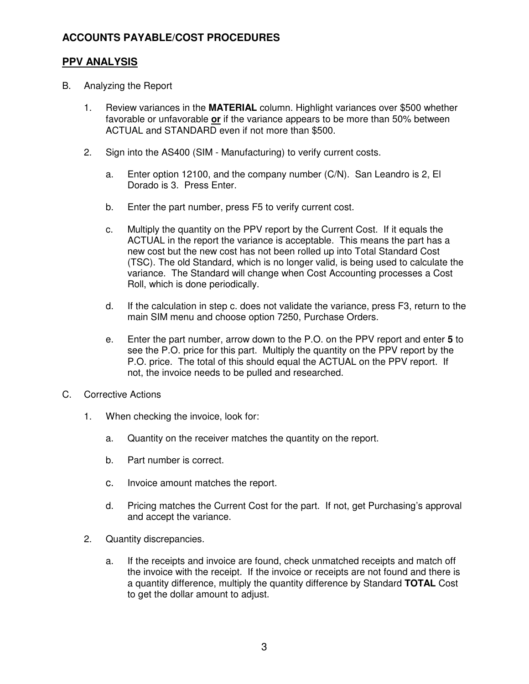### **PPV ANALYSIS**

- B. Analyzing the Report
	- 1. Review variances in the **MATERIAL** column. Highlight variances over \$500 whether favorable or unfavorable **or** if the variance appears to be more than 50% between ACTUAL and STANDARD even if not more than \$500.
	- 2. Sign into the AS400 (SIM Manufacturing) to verify current costs.
		- a. Enter option 12100, and the company number (C/N). San Leandro is 2, El Dorado is 3. Press Enter.
		- b. Enter the part number, press F5 to verify current cost.
		- c. Multiply the quantity on the PPV report by the Current Cost. If it equals the ACTUAL in the report the variance is acceptable. This means the part has a new cost but the new cost has not been rolled up into Total Standard Cost (TSC). The old Standard, which is no longer valid, is being used to calculate the variance. The Standard will change when Cost Accounting processes a Cost Roll, which is done periodically.
		- d. If the calculation in step c. does not validate the variance, press F3, return to the main SIM menu and choose option 7250, Purchase Orders.
		- e. Enter the part number, arrow down to the P.O. on the PPV report and enter **5** to see the P.O. price for this part. Multiply the quantity on the PPV report by the P.O. price. The total of this should equal the ACTUAL on the PPV report. If not, the invoice needs to be pulled and researched.
- C. Corrective Actions
	- 1. When checking the invoice, look for:
		- a. Quantity on the receiver matches the quantity on the report.
		- b. Part number is correct.
		- c. Invoice amount matches the report.
		- d. Pricing matches the Current Cost for the part. If not, get Purchasing's approval and accept the variance.
	- 2. Quantity discrepancies.
		- a. If the receipts and invoice are found, check unmatched receipts and match off the invoice with the receipt. If the invoice or receipts are not found and there is a quantity difference, multiply the quantity difference by Standard **TOTAL** Cost to get the dollar amount to adjust.